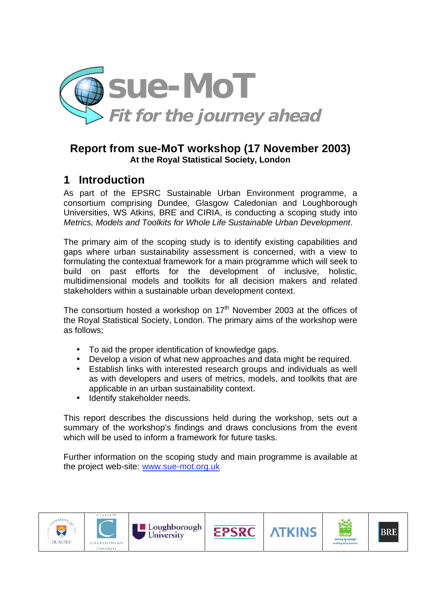

### **Report from sue-MoT workshop (17 November 2003) At the Royal Statistical Society, London**

### **1 Introduction**

As part of the EPSRC Sustainable Urban Environment programme, a consortium comprising Dundee, Glasgow Caledonian and Loughborough Universities, WS Atkins, BRE and CIRIA, is conducting a scoping study into *Metrics, Models and Toolkits for Whole Life Sustainable Urban Development*.

The primary aim of the scoping study is to identify existing capabilities and gaps where urban sustainability assessment is concerned, with a view to formulating the contextual framework for a main programme which will seek to build on past efforts for the development of inclusive, holistic, multidimensional models and toolkits for all decision makers and related stakeholders within a sustainable urban development context.

The consortium hosted a workshop on  $17<sup>th</sup>$  November 2003 at the offices of the Royal Statistical Society, London. The primary aims of the workshop were as follows;

- To aid the proper identification of knowledge gaps.
- Develop a vision of what new approaches and data might be required.<br>• Establish links with interested research groups and individuals as we
- Establish links with interested research groups and individuals as well as with developers and users of metrics, models, and toolkits that are applicable in an urban sustainability context.
- Identify stakeholder needs.

This report describes the discussions held during the workshop, sets out a summary of the workshop's findings and draws conclusions from the event which will be used to inform a framework for future tasks.

Further information on the scoping study and main programme is available at the project web-site: www.sue-mot.org.uk

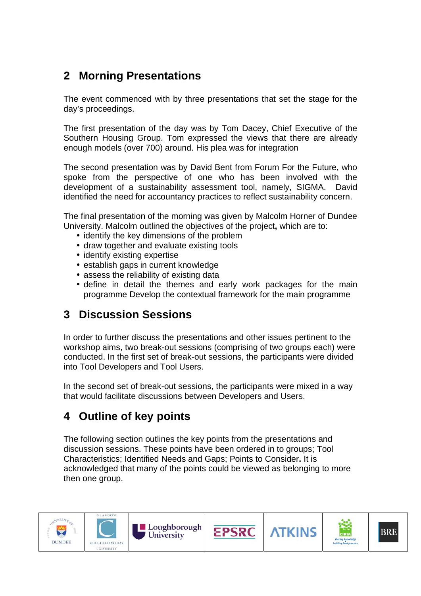# **2 Morning Presentations**

The event commenced with by three presentations that set the stage for the day's proceedings.

The first presentation of the day was by Tom Dacey, Chief Executive of the Southern Housing Group. Tom expressed the views that there are already enough models (over 700) around. His plea was for integration

The second presentation was by David Bent from Forum For the Future, who spoke from the perspective of one who has been involved with the development of a sustainability assessment tool, namely, SIGMA. David identified the need for accountancy practices to reflect sustainability concern.

The final presentation of the morning was given by Malcolm Horner of Dundee University. Malcolm outlined the objectives of the project**,** which are to:

- identify the key dimensions of the problem
- draw together and evaluate existing tools
- identify existing expertise
- establish gaps in current knowledge
- assess the reliability of existing data
- define in detail the themes and early work packages for the main programme Develop the contextual framework for the main programme

## **3 Discussion Sessions**

In order to further discuss the presentations and other issues pertinent to the workshop aims, two break-out sessions (comprising of two groups each) were conducted. In the first set of break-out sessions, the participants were divided into Tool Developers and Tool Users.

In the second set of break-out sessions, the participants were mixed in a way that would facilitate discussions between Developers and Users.

## **4 Outline of key points**

The following section outlines the key points from the presentations and discussion sessions. These points have been ordered in to groups; Tool Characteristics; Identified Needs and Gaps; Points to Consider**.** It is acknowledged that many of the points could be viewed as belonging to more then one group.

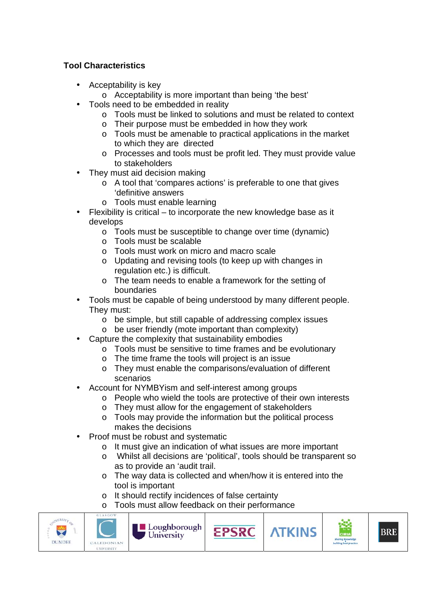#### **Tool Characteristics**

- Acceptability is key
	- o Acceptability is more important than being 'the best'
- Tools need to be embedded in reality
	- o Tools must be linked to solutions and must be related to context
	- o Their purpose must be embedded in how they work
	- o Tools must be amenable to practical applications in the market to which they are directed
	- o Processes and tools must be profit led. They must provide value to stakeholders
- They must aid decision making
	- o A tool that 'compares actions' is preferable to one that gives 'definitive answers
	- o Tools must enable learning
- Flexibility is critical to incorporate the new knowledge base as it develops
	- o Tools must be susceptible to change over time (dynamic)
	- o Tools must be scalable
	- o Tools must work on micro and macro scale
	- o Updating and revising tools (to keep up with changes in regulation etc.) is difficult.
	- o The team needs to enable a framework for the setting of boundaries
- Tools must be capable of being understood by many different people. They must:
	- o be simple, but still capable of addressing complex issues
	- o be user friendly (mote important than complexity)
- Capture the complexity that sustainability embodies
	- o Tools must be sensitive to time frames and be evolutionary
	- o The time frame the tools will project is an issue
	- o They must enable the comparisons/evaluation of different scenarios
- Account for NYMBYism and self-interest among groups
	- o People who wield the tools are protective of their own interests
	- o They must allow for the engagement of stakeholders
	- o Tools may provide the information but the political process makes the decisions
- Proof must be robust and systematic
	- o It must give an indication of what issues are more important
	- o Whilst all decisions are 'political', tools should be transparent so as to provide an 'audit trail.
	- o The way data is collected and when/how it is entered into the tool is important
	- o It should rectify incidences of false certainty
	- o Tools must allow feedback on their performance

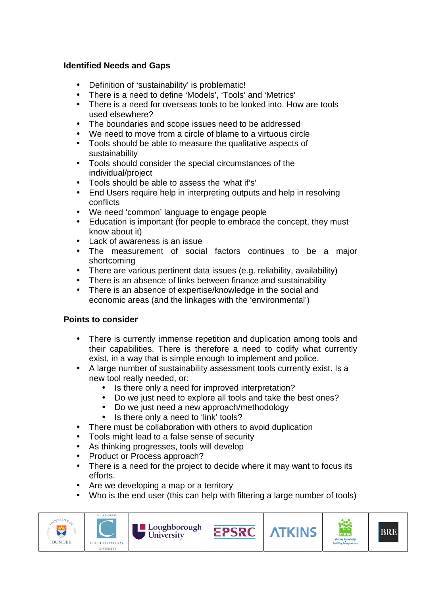#### **Identified Needs and Gaps**

- Definition of 'sustainability' is problematic!
- There is a need to define 'Models', 'Tools' and 'Metrics'
- There is a need for overseas tools to be looked into. How are tools used elsewhere?
- The boundaries and scope issues need to be addressed
- We need to move from a circle of blame to a virtuous circle
- Tools should be able to measure the qualitative aspects of sustainability
- Tools should consider the special circumstances of the individual/project
- Tools should be able to assess the 'what if's'<br>• End Users require help in interpreting outputs
- End Users require help in interpreting outputs and help in resolving conflicts
- We need 'common' language to engage people
- Education is important (for people to embrace the concept, they must know about it)
- Lack of awareness is an issue<br>• The measurement of social
- The measurement of social factors continues to be a major shortcoming
- There are various pertinent data issues (e.g. reliability, availability)
- There is an absence of links between finance and sustainability
- There is an absence of expertise/knowledge in the social and economic areas (and the linkages with the 'environmental')

#### **Points to consider**

- There is currently immense repetition and duplication among tools and their capabilities. There is therefore a need to codify what currently exist, in a way that is simple enough to implement and police.
- A large number of sustainability assessment tools currently exist. Is a new tool really needed, or:
	- Is there only a need for improved interpretation?
	- Do we just need to explore all tools and take the best ones?
	- Do we just need a new approach/methodology
	- Is there only a need to 'link' tools?
- There must be collaboration with others to avoid duplication
- Tools might lead to a false sense of security
- As thinking progresses, tools will develop
- Product or Process approach?
- There is a need for the project to decide where it may want to focus its efforts.
- Are we developing a map or a territory
- Who is the end user (this can help with filtering a large number of tools)